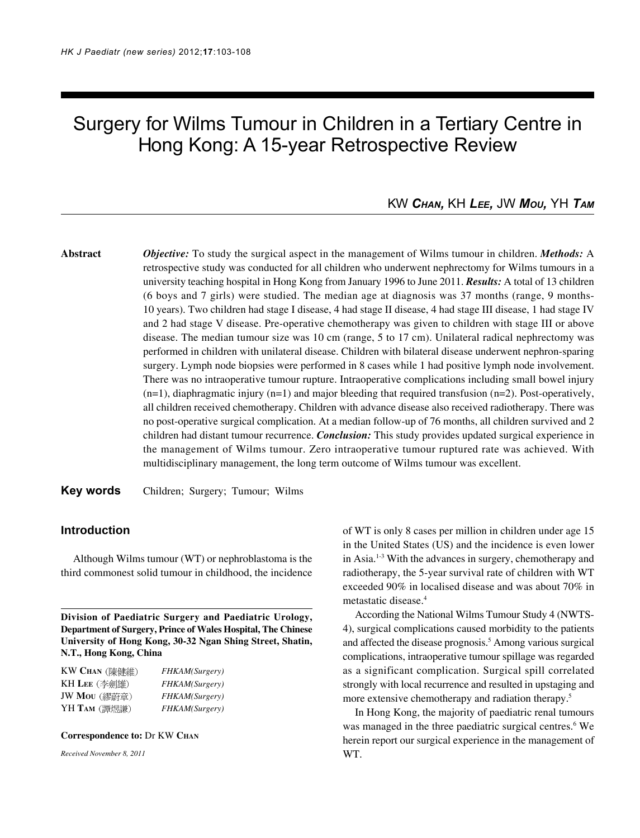# Surgery for Wilms Tumour in Children in a Tertiary Centre in Hong Kong: A 15-year Retrospective Review

## KW *CHAN,* KH *LEE,* JW *MOU,* YH *TAM*

**Abstract** *Objective:* To study the surgical aspect in the management of Wilms tumour in children. *Methods:* A retrospective study was conducted for all children who underwent nephrectomy for Wilms tumours in a university teaching hospital in Hong Kong from January 1996 to June 2011. *Results:* A total of 13 children (6 boys and 7 girls) were studied. The median age at diagnosis was 37 months (range, 9 months-10 years). Two children had stage I disease, 4 had stage II disease, 4 had stage III disease, 1 had stage IV and 2 had stage V disease. Pre-operative chemotherapy was given to children with stage III or above disease. The median tumour size was 10 cm (range, 5 to 17 cm). Unilateral radical nephrectomy was performed in children with unilateral disease. Children with bilateral disease underwent nephron-sparing surgery. Lymph node biopsies were performed in 8 cases while 1 had positive lymph node involvement. There was no intraoperative tumour rupture. Intraoperative complications including small bowel injury  $(n=1)$ , diaphragmatic injury  $(n=1)$  and major bleeding that required transfusion  $(n=2)$ . Post-operatively, all children received chemotherapy. Children with advance disease also received radiotherapy. There was no post-operative surgical complication. At a median follow-up of 76 months, all children survived and 2 children had distant tumour recurrence. *Conclusion:* This study provides updated surgical experience in the management of Wilms tumour. Zero intraoperative tumour ruptured rate was achieved. With multidisciplinary management, the long term outcome of Wilms tumour was excellent.

**Key words** Children; Surgery; Tumour; Wilms

## **Introduction**

Although Wilms tumour (WT) or nephroblastoma is the third commonest solid tumour in childhood, the incidence

**Division of Paediatric Surgery and Paediatric Urology, Department of Surgery, Prince of Wales Hospital, The Chinese University of Hong Kong, 30-32 Ngan Shing Street, Shatin, N.T., Hong Kong, China**

| KW CHAN (陳健維) | FHKAM(Surgery) |
|---------------|----------------|
| KH LEE (李劍雄)  | FHKAM(Surgery) |
| JW Mou (繆蔚章)  | FHKAM(Surgery) |
| YH TAM (譚煜謙)  | FHKAM(Surgery) |

#### **Correspondence to:** Dr KW **CHAN**

*Received November 8, 2011*

of WT is only 8 cases per million in children under age 15 in the United States (US) and the incidence is even lower in Asia.1-3 With the advances in surgery, chemotherapy and radiotherapy, the 5-year survival rate of children with WT exceeded 90% in localised disease and was about 70% in metastatic disease.4

According the National Wilms Tumour Study 4 (NWTS-4), surgical complications caused morbidity to the patients and affected the disease prognosis.<sup>5</sup> Among various surgical complications, intraoperative tumour spillage was regarded as a significant complication. Surgical spill correlated strongly with local recurrence and resulted in upstaging and more extensive chemotherapy and radiation therapy.<sup>5</sup>

In Hong Kong, the majority of paediatric renal tumours was managed in the three paediatric surgical centres.<sup>6</sup> We herein report our surgical experience in the management of WT.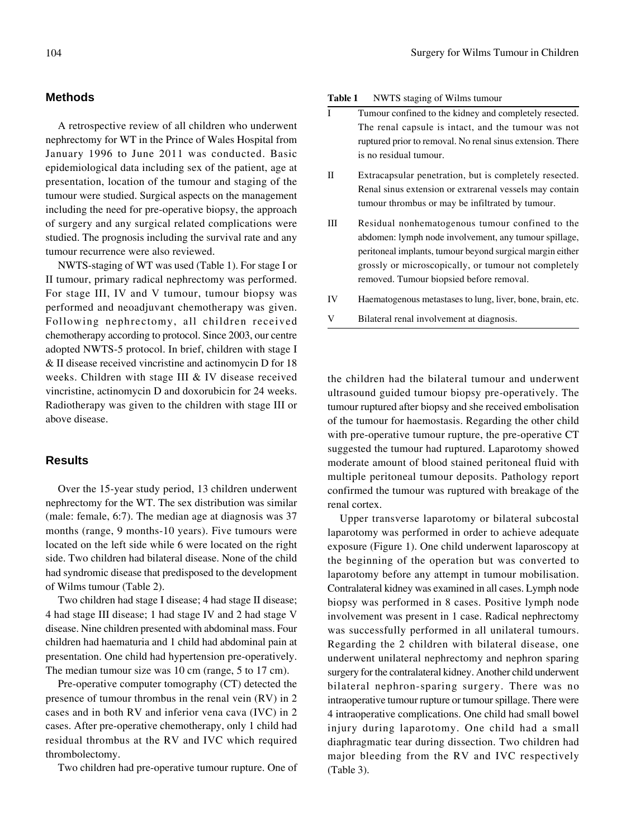#### **Methods**

A retrospective review of all children who underwent nephrectomy for WT in the Prince of Wales Hospital from January 1996 to June 2011 was conducted. Basic epidemiological data including sex of the patient, age at presentation, location of the tumour and staging of the tumour were studied. Surgical aspects on the management including the need for pre-operative biopsy, the approach of surgery and any surgical related complications were studied. The prognosis including the survival rate and any tumour recurrence were also reviewed.

NWTS-staging of WT was used (Table 1). For stage I or II tumour, primary radical nephrectomy was performed. For stage III, IV and V tumour, tumour biopsy was performed and neoadjuvant chemotherapy was given. Following nephrectomy, all children received chemotherapy according to protocol. Since 2003, our centre adopted NWTS-5 protocol. In brief, children with stage I & II disease received vincristine and actinomycin D for 18 weeks. Children with stage III & IV disease received vincristine, actinomycin D and doxorubicin for 24 weeks. Radiotherapy was given to the children with stage III or above disease.

## **Results**

Over the 15-year study period, 13 children underwent nephrectomy for the WT. The sex distribution was similar (male: female, 6:7). The median age at diagnosis was 37 months (range, 9 months-10 years). Five tumours were located on the left side while 6 were located on the right side. Two children had bilateral disease. None of the child had syndromic disease that predisposed to the development of Wilms tumour (Table 2).

Two children had stage I disease; 4 had stage II disease; 4 had stage III disease; 1 had stage IV and 2 had stage V disease. Nine children presented with abdominal mass. Four children had haematuria and 1 child had abdominal pain at presentation. One child had hypertension pre-operatively. The median tumour size was 10 cm (range, 5 to 17 cm).

Pre-operative computer tomography (CT) detected the presence of tumour thrombus in the renal vein (RV) in 2 cases and in both RV and inferior vena cava (IVC) in 2 cases. After pre-operative chemotherapy, only 1 child had residual thrombus at the RV and IVC which required thrombolectomy.

Two children had pre-operative tumour rupture. One of

#### **Table 1** NWTS staging of Wilms tumour

- I Tumour confined to the kidney and completely resected. The renal capsule is intact, and the tumour was not ruptured prior to removal. No renal sinus extension. There is no residual tumour.
- II Extracapsular penetration, but is completely resected. Renal sinus extension or extrarenal vessels may contain tumour thrombus or may be infiltrated by tumour.
- III Residual nonhematogenous tumour confined to the abdomen: lymph node involvement, any tumour spillage, peritoneal implants, tumour beyond surgical margin either grossly or microscopically, or tumour not completely removed. Tumour biopsied before removal.
- IV Haematogenous metastases to lung, liver, bone, brain, etc.
- V Bilateral renal involvement at diagnosis.

the children had the bilateral tumour and underwent ultrasound guided tumour biopsy pre-operatively. The tumour ruptured after biopsy and she received embolisation of the tumour for haemostasis. Regarding the other child with pre-operative tumour rupture, the pre-operative CT suggested the tumour had ruptured. Laparotomy showed moderate amount of blood stained peritoneal fluid with multiple peritoneal tumour deposits. Pathology report confirmed the tumour was ruptured with breakage of the renal cortex.

Upper transverse laparotomy or bilateral subcostal laparotomy was performed in order to achieve adequate exposure (Figure 1). One child underwent laparoscopy at the beginning of the operation but was converted to laparotomy before any attempt in tumour mobilisation. Contralateral kidney was examined in all cases. Lymph node biopsy was performed in 8 cases. Positive lymph node involvement was present in 1 case. Radical nephrectomy was successfully performed in all unilateral tumours. Regarding the 2 children with bilateral disease, one underwent unilateral nephrectomy and nephron sparing surgery for the contralateral kidney. Another child underwent bilateral nephron-sparing surgery. There was no intraoperative tumour rupture or tumour spillage. There were 4 intraoperative complications. One child had small bowel injury during laparotomy. One child had a small diaphragmatic tear during dissection. Two children had major bleeding from the RV and IVC respectively (Table 3).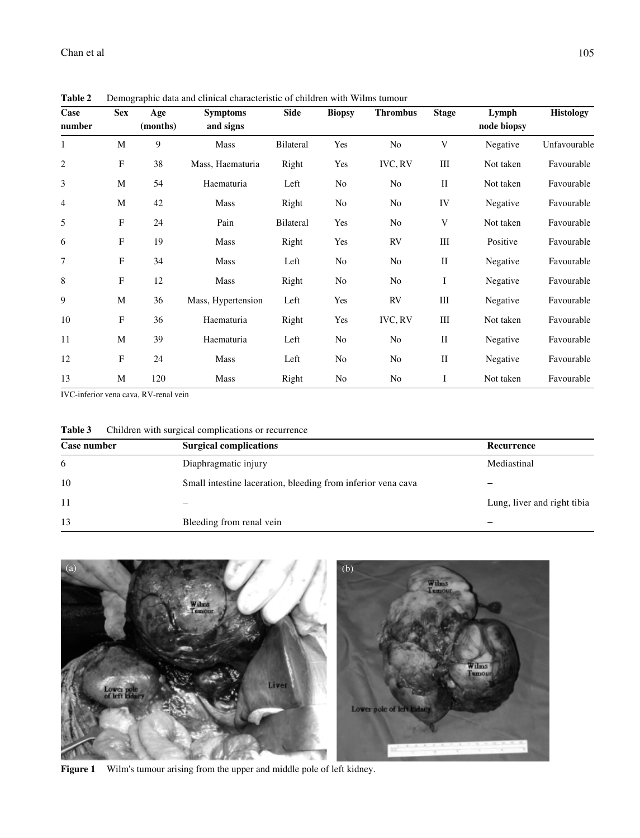| Case           | <b>Sex</b>   | Age      | <b>Symptoms</b>    | <b>Side</b>      | <b>Biopsy</b>  | <b>Thrombus</b> | <b>Stage</b>                | Lymph       | <b>Histology</b> |
|----------------|--------------|----------|--------------------|------------------|----------------|-----------------|-----------------------------|-------------|------------------|
| number         |              | (months) | and signs          |                  |                |                 |                             | node biopsy |                  |
| 1              | M            | 9        | Mass               | Bilateral        | Yes            | N <sub>0</sub>  | V                           | Negative    | Unfavourable     |
| $\overline{2}$ | F            | 38       | Mass, Haematuria   | Right            | Yes            | <b>IVC, RV</b>  | $\mathop{\rm III}\nolimits$ | Not taken   | Favourable       |
| 3              | M            | 54       | Haematuria         | Left             | No             | N <sub>0</sub>  | $\mathbf{I}$                | Not taken   | Favourable       |
| 4              | M            | 42       | Mass               | Right            | N <sub>0</sub> | N <sub>0</sub>  | IV                          | Negative    | Favourable       |
| 5              | F            | 24       | Pain               | <b>Bilateral</b> | Yes            | N <sub>0</sub>  | V                           | Not taken   | Favourable       |
| 6              | F            | 19       | Mass               | Right            | Yes            | <b>RV</b>       | Ш                           | Positive    | Favourable       |
| 7              | F            | 34       | Mass               | Left             | N <sub>0</sub> | N <sub>0</sub>  | $\mathbf{I}$                | Negative    | Favourable       |
| 8              | $\mathbf{F}$ | 12       | Mass               | Right            | No             | N <sub>0</sub>  | $\bf{I}$                    | Negative    | Favourable       |
| 9              | M            | 36       | Mass, Hypertension | Left             | Yes            | <b>RV</b>       | $\rm III$                   | Negative    | Favourable       |
| 10             | F            | 36       | Haematuria         | Right            | Yes            | <b>IVC, RV</b>  | Ш                           | Not taken   | Favourable       |
| 11             | M            | 39       | Haematuria         | Left             | No             | N <sub>0</sub>  | $\mathbf{I}$                | Negative    | Favourable       |
| 12             | F            | 24       | Mass               | Left             | N <sub>0</sub> | N <sub>0</sub>  | $\mathbf{I}$                | Negative    | Favourable       |
| 13             | M            | 120      | Mass               | Right            | N <sub>0</sub> | N <sub>0</sub>  | I                           | Not taken   | Favourable       |

**Table 2** Demographic data and clinical characteristic of children with Wilms tumour

IVC-inferior vena cava, RV-renal vein

| Table 3 | Children with surgical complications or recurrence |
|---------|----------------------------------------------------|
|---------|----------------------------------------------------|

| Case number | <b>Surgical complications</b>                                | Recurrence                  |
|-------------|--------------------------------------------------------------|-----------------------------|
| 6           | Diaphragmatic injury                                         | Mediastinal                 |
| 10          | Small intestine laceration, bleeding from inferior vena cava |                             |
| 11          |                                                              | Lung, liver and right tibia |
| 13          | Bleeding from renal vein                                     |                             |



**Figure 1** Wilm's tumour arising from the upper and middle pole of left kidney.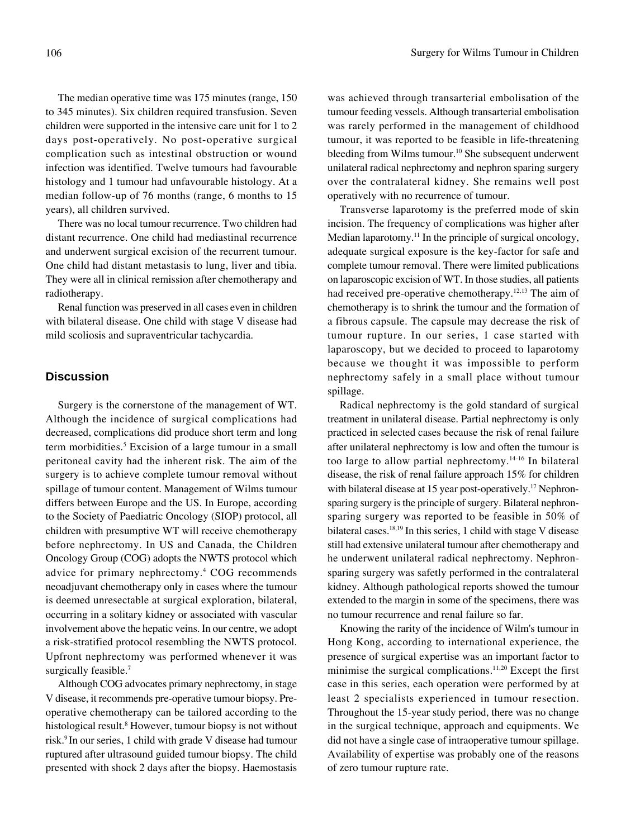The median operative time was 175 minutes (range, 150 to 345 minutes). Six children required transfusion. Seven children were supported in the intensive care unit for 1 to 2 days post-operatively. No post-operative surgical complication such as intestinal obstruction or wound infection was identified. Twelve tumours had favourable histology and 1 tumour had unfavourable histology. At a median follow-up of 76 months (range, 6 months to 15 years), all children survived.

There was no local tumour recurrence. Two children had distant recurrence. One child had mediastinal recurrence and underwent surgical excision of the recurrent tumour. One child had distant metastasis to lung, liver and tibia. They were all in clinical remission after chemotherapy and radiotherapy.

Renal function was preserved in all cases even in children with bilateral disease. One child with stage V disease had mild scoliosis and supraventricular tachycardia.

#### **Discussion**

Surgery is the cornerstone of the management of WT. Although the incidence of surgical complications had decreased, complications did produce short term and long term morbidities.<sup>5</sup> Excision of a large tumour in a small peritoneal cavity had the inherent risk. The aim of the surgery is to achieve complete tumour removal without spillage of tumour content. Management of Wilms tumour differs between Europe and the US. In Europe, according to the Society of Paediatric Oncology (SIOP) protocol, all children with presumptive WT will receive chemotherapy before nephrectomy. In US and Canada, the Children Oncology Group (COG) adopts the NWTS protocol which advice for primary nephrectomy.4 COG recommends neoadjuvant chemotherapy only in cases where the tumour is deemed unresectable at surgical exploration, bilateral, occurring in a solitary kidney or associated with vascular involvement above the hepatic veins. In our centre, we adopt a risk-stratified protocol resembling the NWTS protocol. Upfront nephrectomy was performed whenever it was surgically feasible.<sup>7</sup>

Although COG advocates primary nephrectomy, in stage V disease, it recommends pre-operative tumour biopsy. Preoperative chemotherapy can be tailored according to the histological result.<sup>8</sup> However, tumour biopsy is not without risk.9 In our series, 1 child with grade V disease had tumour ruptured after ultrasound guided tumour biopsy. The child presented with shock 2 days after the biopsy. Haemostasis

was achieved through transarterial embolisation of the tumour feeding vessels. Although transarterial embolisation was rarely performed in the management of childhood tumour, it was reported to be feasible in life-threatening bleeding from Wilms tumour.10 She subsequent underwent unilateral radical nephrectomy and nephron sparing surgery over the contralateral kidney. She remains well post operatively with no recurrence of tumour.

Transverse laparotomy is the preferred mode of skin incision. The frequency of complications was higher after Median laparotomy.<sup>11</sup> In the principle of surgical oncology, adequate surgical exposure is the key-factor for safe and complete tumour removal. There were limited publications on laparoscopic excision of WT. In those studies, all patients had received pre-operative chemotherapy.12,13 The aim of chemotherapy is to shrink the tumour and the formation of a fibrous capsule. The capsule may decrease the risk of tumour rupture. In our series, 1 case started with laparoscopy, but we decided to proceed to laparotomy because we thought it was impossible to perform nephrectomy safely in a small place without tumour spillage.

Radical nephrectomy is the gold standard of surgical treatment in unilateral disease. Partial nephrectomy is only practiced in selected cases because the risk of renal failure after unilateral nephrectomy is low and often the tumour is too large to allow partial nephrectomy.14-16 In bilateral disease, the risk of renal failure approach 15% for children with bilateral disease at 15 year post-operatively.<sup>17</sup> Nephronsparing surgery is the principle of surgery. Bilateral nephronsparing surgery was reported to be feasible in 50% of bilateral cases.18,19 In this series, 1 child with stage V disease still had extensive unilateral tumour after chemotherapy and he underwent unilateral radical nephrectomy. Nephronsparing surgery was safetly performed in the contralateral kidney. Although pathological reports showed the tumour extended to the margin in some of the specimens, there was no tumour recurrence and renal failure so far.

Knowing the rarity of the incidence of Wilm's tumour in Hong Kong, according to international experience, the presence of surgical expertise was an important factor to minimise the surgical complications.<sup>11,20</sup> Except the first case in this series, each operation were performed by at least 2 specialists experienced in tumour resection. Throughout the 15-year study period, there was no change in the surgical technique, approach and equipments. We did not have a single case of intraoperative tumour spillage. Availability of expertise was probably one of the reasons of zero tumour rupture rate.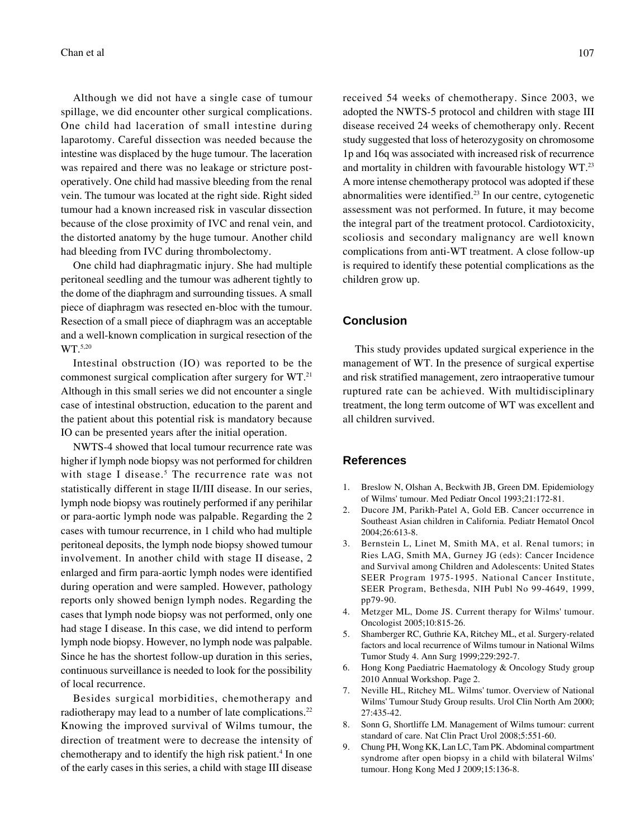Although we did not have a single case of tumour spillage, we did encounter other surgical complications. One child had laceration of small intestine during laparotomy. Careful dissection was needed because the intestine was displaced by the huge tumour. The laceration was repaired and there was no leakage or stricture postoperatively. One child had massive bleeding from the renal vein. The tumour was located at the right side. Right sided tumour had a known increased risk in vascular dissection because of the close proximity of IVC and renal vein, and the distorted anatomy by the huge tumour. Another child had bleeding from IVC during thrombolectomy.

One child had diaphragmatic injury. She had multiple peritoneal seedling and the tumour was adherent tightly to the dome of the diaphragm and surrounding tissues. A small piece of diaphragm was resected en-bloc with the tumour. Resection of a small piece of diaphragm was an acceptable and a well-known complication in surgical resection of the WT.<sup>5,20</sup>

Intestinal obstruction (IO) was reported to be the commonest surgical complication after surgery for WT.21 Although in this small series we did not encounter a single case of intestinal obstruction, education to the parent and the patient about this potential risk is mandatory because IO can be presented years after the initial operation.

NWTS-4 showed that local tumour recurrence rate was higher if lymph node biopsy was not performed for children with stage I disease.<sup>5</sup> The recurrence rate was not statistically different in stage II/III disease. In our series, lymph node biopsy was routinely performed if any perihilar or para-aortic lymph node was palpable. Regarding the 2 cases with tumour recurrence, in 1 child who had multiple peritoneal deposits, the lymph node biopsy showed tumour involvement. In another child with stage II disease, 2 enlarged and firm para-aortic lymph nodes were identified during operation and were sampled. However, pathology reports only showed benign lymph nodes. Regarding the cases that lymph node biopsy was not performed, only one had stage I disease. In this case, we did intend to perform lymph node biopsy. However, no lymph node was palpable. Since he has the shortest follow-up duration in this series, continuous surveillance is needed to look for the possibility of local recurrence.

Besides surgical morbidities, chemotherapy and radiotherapy may lead to a number of late complications.<sup>22</sup> Knowing the improved survival of Wilms tumour, the direction of treatment were to decrease the intensity of chemotherapy and to identify the high risk patient.<sup>4</sup> In one of the early cases in this series, a child with stage III disease received 54 weeks of chemotherapy. Since 2003, we adopted the NWTS-5 protocol and children with stage III disease received 24 weeks of chemotherapy only. Recent study suggested that loss of heterozygosity on chromosome 1p and 16q was associated with increased risk of recurrence and mortality in children with favourable histology WT.23 A more intense chemotherapy protocol was adopted if these abnormalities were identified.23 In our centre, cytogenetic assessment was not performed. In future, it may become the integral part of the treatment protocol. Cardiotoxicity, scoliosis and secondary malignancy are well known complications from anti-WT treatment. A close follow-up is required to identify these potential complications as the children grow up.

## **Conclusion**

This study provides updated surgical experience in the management of WT. In the presence of surgical expertise and risk stratified management, zero intraoperative tumour ruptured rate can be achieved. With multidisciplinary treatment, the long term outcome of WT was excellent and all children survived.

#### **References**

- 1. Breslow N, Olshan A, Beckwith JB, Green DM. Epidemiology of Wilms' tumour. Med Pediatr Oncol 1993;21:172-81.
- 2. Ducore JM, Parikh-Patel A, Gold EB. Cancer occurrence in Southeast Asian children in California. Pediatr Hematol Oncol 2004;26:613-8.
- 3. Bernstein L, Linet M, Smith MA, et al. Renal tumors; in Ries LAG, Smith MA, Gurney JG (eds): Cancer Incidence and Survival among Children and Adolescents: United States SEER Program 1975-1995. National Cancer Institute, SEER Program, Bethesda, NIH Publ No 99-4649, 1999, pp79-90.
- 4. Metzger ML, Dome JS. Current therapy for Wilms' tumour. Oncologist 2005;10:815-26.
- 5. Shamberger RC, Guthrie KA, Ritchey ML, et al. Surgery-related factors and local recurrence of Wilms tumour in National Wilms Tumor Study 4. Ann Surg 1999;229:292-7.
- 6. Hong Kong Paediatric Haematology & Oncology Study group 2010 Annual Workshop. Page 2.
- 7. Neville HL, Ritchey ML. Wilms' tumor. Overview of National Wilms' Tumour Study Group results. Urol Clin North Am 2000; 27:435-42.
- 8. Sonn G, Shortliffe LM. Management of Wilms tumour: current standard of care. Nat Clin Pract Urol 2008;5:551-60.
- 9. Chung PH, Wong KK, Lan LC, Tam PK. Abdominal compartment syndrome after open biopsy in a child with bilateral Wilms' tumour. Hong Kong Med J 2009;15:136-8.